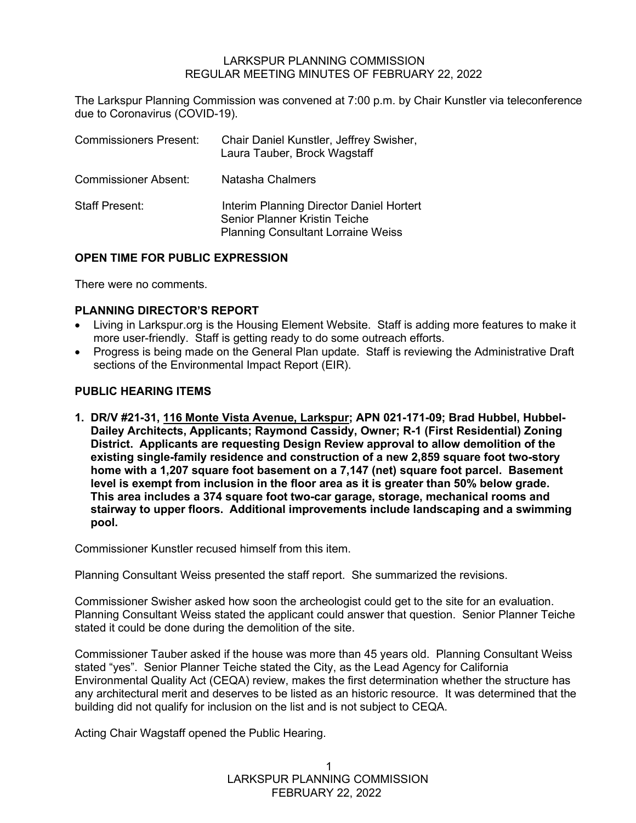### LARKSPUR PLANNING COMMISSION REGULAR MEETING MINUTES OF FEBRUARY 22, 2022

The Larkspur Planning Commission was convened at 7:00 p.m. by Chair Kunstler via teleconference due to Coronavirus (COVID-19).

| <b>Commissioners Present:</b> | Chair Daniel Kunstler, Jeffrey Swisher,<br>Laura Tauber, Brock Wagstaff                                                       |
|-------------------------------|-------------------------------------------------------------------------------------------------------------------------------|
| <b>Commissioner Absent:</b>   | Natasha Chalmers                                                                                                              |
| <b>Staff Present:</b>         | Interim Planning Director Daniel Hortert<br><b>Senior Planner Kristin Teiche</b><br><b>Planning Consultant Lorraine Weiss</b> |

# **OPEN TIME FOR PUBLIC EXPRESSION**

There were no comments.

### **PLANNING DIRECTOR'S REPORT**

- Living in Larkspur.org is the Housing Element Website. Staff is adding more features to make it more user-friendly. Staff is getting ready to do some outreach efforts.
- Progress is being made on the General Plan update. Staff is reviewing the Administrative Draft sections of the Environmental Impact Report (EIR).

# **PUBLIC HEARING ITEMS**

**1. DR/V #21-31, 116 Monte Vista Avenue, Larkspur; APN 021-171-09; Brad Hubbel, Hubbel- Dailey Architects, Applicants; Raymond Cassidy, Owner; R-1 (First Residential) Zoning District. Applicants are requesting Design Review approval to allow demolition of the existing single-family residence and construction of a new 2,859 square foot two-story home with a 1,207 square foot basement on a 7,147 (net) square foot parcel. Basement level is exempt from inclusion in the floor area as it is greater than 50% below grade. This area includes a 374 square foot two-car garage, storage, mechanical rooms and stairway to upper floors. Additional improvements include landscaping and a swimming pool.** 

Commissioner Kunstler recused himself from this item.

Planning Consultant Weiss presented the staff report. She summarized the revisions.

Commissioner Swisher asked how soon the archeologist could get to the site for an evaluation. Planning Consultant Weiss stated the applicant could answer that question. Senior Planner Teiche stated it could be done during the demolition of the site.

Commissioner Tauber asked if the house was more than 45 years old. Planning Consultant Weiss stated "yes". Senior Planner Teiche stated the City, as the Lead Agency for California Environmental Quality Act (CEQA) review, makes the first determination whether the structure has any architectural merit and deserves to be listed as an historic resource. It was determined that the building did not qualify for inclusion on the list and is not subject to CEQA.

Acting Chair Wagstaff opened the Public Hearing.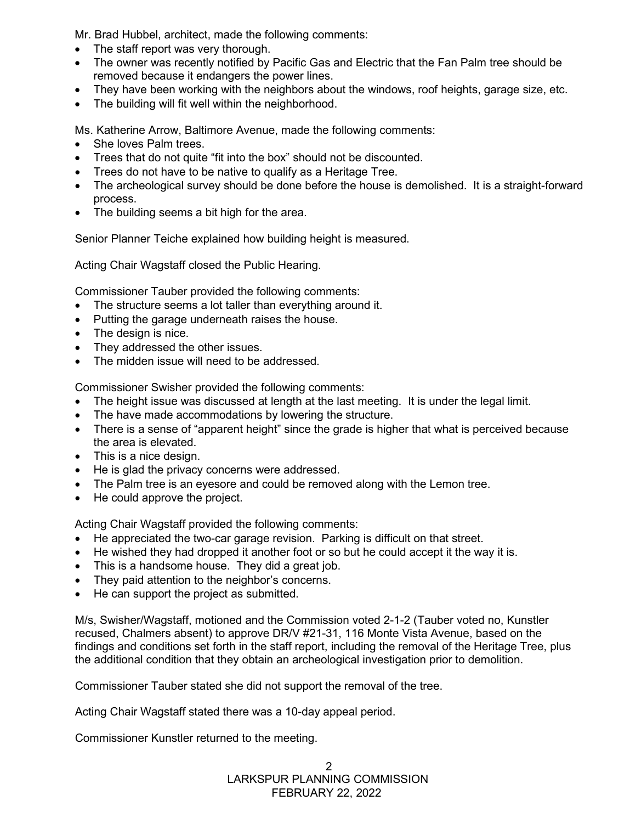Mr. Brad Hubbel, architect, made the following comments:

- The staff report was very thorough.
- The owner was recently notified by Pacific Gas and Electric that the Fan Palm tree should be removed because it endangers the power lines.
- They have been working with the neighbors about the windows, roof heights, garage size, etc.
- The building will fit well within the neighborhood.

Ms. Katherine Arrow, Baltimore Avenue, made the following comments:

- She loves Palm trees.
- Trees that do not quite "fit into the box" should not be discounted.
- Trees do not have to be native to qualify as a Heritage Tree.
- The archeological survey should be done before the house is demolished. It is a straight-forward process.
- The building seems a bit high for the area.

Senior Planner Teiche explained how building height is measured.

Acting Chair Wagstaff closed the Public Hearing.

Commissioner Tauber provided the following comments:

- The structure seems a lot taller than everything around it.
- Putting the garage underneath raises the house.
- The design is nice.
- They addressed the other issues.
- The midden issue will need to be addressed.

Commissioner Swisher provided the following comments:

- The height issue was discussed at length at the last meeting. It is under the legal limit.
- The have made accommodations by lowering the structure.
- There is a sense of "apparent height" since the grade is higher that what is perceived because the area is elevated.
- This is a nice design.
- He is glad the privacy concerns were addressed.
- The Palm tree is an eyesore and could be removed along with the Lemon tree.
- He could approve the project.

Acting Chair Wagstaff provided the following comments:

- He appreciated the two-car garage revision. Parking is difficult on that street.
- He wished they had dropped it another foot or so but he could accept it the way it is.
- This is a handsome house. They did a great job.
- They paid attention to the neighbor's concerns.
- He can support the project as submitted.

M/s, Swisher/Wagstaff, motioned and the Commission voted 2-1-2 (Tauber voted no, Kunstler recused, Chalmers absent) to approve DR/V #21-31, 116 Monte Vista Avenue, based on the findings and conditions set forth in the staff report, including the removal of the Heritage Tree, plus the additional condition that they obtain an archeological investigation prior to demolition.

Commissioner Tauber stated she did not support the removal of the tree.

Acting Chair Wagstaff stated there was a 10-day appeal period.

Commissioner Kunstler returned to the meeting.